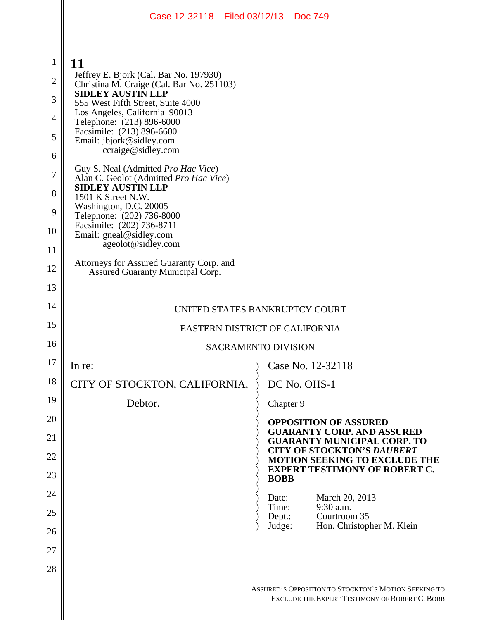|                                                                                | Case 12-32118 Filed 03/12/13 Doc 749                                                                                                                                                                                                                                                                                                                                                                                                                                 |                  |                                                                                                                   |  |  |
|--------------------------------------------------------------------------------|----------------------------------------------------------------------------------------------------------------------------------------------------------------------------------------------------------------------------------------------------------------------------------------------------------------------------------------------------------------------------------------------------------------------------------------------------------------------|------------------|-------------------------------------------------------------------------------------------------------------------|--|--|
| $\mathbf{1}$<br>$\overline{2}$<br>3<br>$\overline{4}$<br>5<br>6<br>7<br>8<br>9 | 11<br>Jeffrey E. Bjork (Cal. Bar No. 197930)<br>Christina M. Craige (Cal. Bar No. 251103)<br><b>SIDLEY AUSTIN LLP</b><br>555 West Fifth Street, Suite 4000<br>Los Angeles, California 90013<br>Telephone: (213) 896-6000<br>Facsimile: (213) 896-6600<br>Email: jbjork@sidley.com<br>ccraige@sidley.com<br>Guy S. Neal (Admitted Pro Hac Vice)<br>Alan C. Geolot (Admitted Pro Hac Vice)<br><b>SIDLEY AUSTIN LLP</b><br>1501 K Street N.W.<br>Washington, D.C. 20005 |                  |                                                                                                                   |  |  |
| 10                                                                             | Telephone: (202) 736-8000<br>Facsimile: (202) 736-8711<br>Email: gneal@sidley.com<br>ageolot@sidley.com                                                                                                                                                                                                                                                                                                                                                              |                  |                                                                                                                   |  |  |
| 11<br>12                                                                       | Attorneys for Assured Guaranty Corp. and                                                                                                                                                                                                                                                                                                                                                                                                                             |                  |                                                                                                                   |  |  |
| 13                                                                             | Assured Guaranty Municipal Corp.                                                                                                                                                                                                                                                                                                                                                                                                                                     |                  |                                                                                                                   |  |  |
| 14                                                                             |                                                                                                                                                                                                                                                                                                                                                                                                                                                                      |                  |                                                                                                                   |  |  |
| 15                                                                             | UNITED STATES BANKRUPTCY COURT<br>EASTERN DISTRICT OF CALIFORNIA                                                                                                                                                                                                                                                                                                                                                                                                     |                  |                                                                                                                   |  |  |
| 16                                                                             | <b>SACRAMENTO DIVISION</b>                                                                                                                                                                                                                                                                                                                                                                                                                                           |                  |                                                                                                                   |  |  |
| 17                                                                             | In re:                                                                                                                                                                                                                                                                                                                                                                                                                                                               |                  | Case No. 12-32118                                                                                                 |  |  |
| 18                                                                             | CITY OF STOCKTON, CALIFORNIA,                                                                                                                                                                                                                                                                                                                                                                                                                                        |                  | DC No. OHS-1                                                                                                      |  |  |
| 19                                                                             | Debtor.                                                                                                                                                                                                                                                                                                                                                                                                                                                              | Chapter 9        |                                                                                                                   |  |  |
| 20                                                                             |                                                                                                                                                                                                                                                                                                                                                                                                                                                                      |                  | <b>OPPOSITION OF ASSURED</b>                                                                                      |  |  |
| 21                                                                             |                                                                                                                                                                                                                                                                                                                                                                                                                                                                      |                  | <b>GUARANTY CORP. AND ASSURED</b><br><b>GUARANTY MUNICIPAL CORP. TO</b>                                           |  |  |
| 22                                                                             |                                                                                                                                                                                                                                                                                                                                                                                                                                                                      |                  | <b>CITY OF STOCKTON'S DAUBERT</b><br><b>MOTION SEEKING TO EXCLUDE THE</b><br><b>EXPERT TESTIMONY OF ROBERT C.</b> |  |  |
| 23                                                                             |                                                                                                                                                                                                                                                                                                                                                                                                                                                                      | <b>BOBB</b>      |                                                                                                                   |  |  |
| 24                                                                             |                                                                                                                                                                                                                                                                                                                                                                                                                                                                      | Date:<br>Time:   | March 20, 2013<br>9:30 a.m.                                                                                       |  |  |
| 25                                                                             |                                                                                                                                                                                                                                                                                                                                                                                                                                                                      | Dept.:<br>Judge: | Courtroom 35<br>Hon. Christopher M. Klein                                                                         |  |  |
| 26                                                                             |                                                                                                                                                                                                                                                                                                                                                                                                                                                                      |                  |                                                                                                                   |  |  |
| 27                                                                             |                                                                                                                                                                                                                                                                                                                                                                                                                                                                      |                  |                                                                                                                   |  |  |
| 28                                                                             |                                                                                                                                                                                                                                                                                                                                                                                                                                                                      |                  | ASSURED'S OPPOSITION TO STOCKTON'S MOTION SEEKING TO<br>EXCLUDE THE EXPERT TESTIMONY OF ROBERT C. BOBB            |  |  |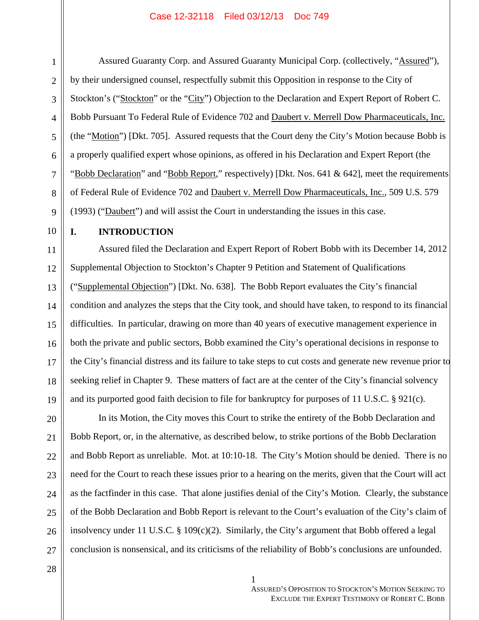#### Case 12-32118 Filed 03/12/13 Doc 749

Assured Guaranty Corp. and Assured Guaranty Municipal Corp. (collectively, "Assured"), by their undersigned counsel, respectfully submit this Opposition in response to the City of Stockton's ("Stockton" or the "City") Objection to the Declaration and Expert Report of Robert C. Bobb Pursuant To Federal Rule of Evidence 702 and Daubert v. Merrell Dow Pharmaceuticals, Inc. (the "Motion") [Dkt. 705]. Assured requests that the Court deny the City's Motion because Bobb is a properly qualified expert whose opinions, as offered in his Declaration and Expert Report (the "Bobb Declaration" and "Bobb Report," respectively) [Dkt. Nos. 641 & 642], meet the requirements of Federal Rule of Evidence 702 and Daubert v. Merrell Dow Pharmaceuticals, Inc., 509 U.S. 579 (1993) ("Daubert") and will assist the Court in understanding the issues in this case.

## **I. INTRODUCTION**

Assured filed the Declaration and Expert Report of Robert Bobb with its December 14, 2012 Supplemental Objection to Stockton's Chapter 9 Petition and Statement of Qualifications ("Supplemental Objection") [Dkt. No. 638]. The Bobb Report evaluates the City's financial condition and analyzes the steps that the City took, and should have taken, to respond to its financial difficulties. In particular, drawing on more than 40 years of executive management experience in both the private and public sectors, Bobb examined the City's operational decisions in response to the City's financial distress and its failure to take steps to cut costs and generate new revenue prior to seeking relief in Chapter 9. These matters of fact are at the center of the City's financial solvency and its purported good faith decision to file for bankruptcy for purposes of 11 U.S.C. § 921(c).

In its Motion, the City moves this Court to strike the entirety of the Bobb Declaration and Bobb Report, or, in the alternative, as described below, to strike portions of the Bobb Declaration and Bobb Report as unreliable. Mot. at 10:10-18. The City's Motion should be denied. There is no need for the Court to reach these issues prior to a hearing on the merits, given that the Court will act as the factfinder in this case. That alone justifies denial of the City's Motion. Clearly, the substance of the Bobb Declaration and Bobb Report is relevant to the Court's evaluation of the City's claim of insolvency under 11 U.S.C. § 109(c)(2). Similarly, the City's argument that Bobb offered a legal conclusion is nonsensical, and its criticisms of the reliability of Bobb's conclusions are unfounded.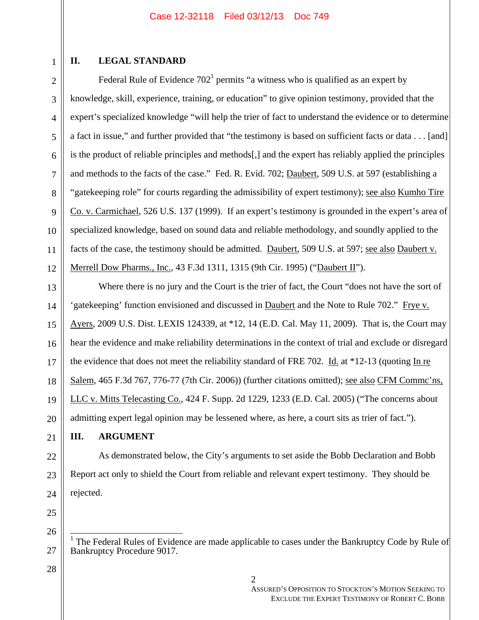# **II. LEGAL STANDARD**

Federal Rule of Evidence  $702<sup>1</sup>$  permits "a witness who is qualified as an expert by knowledge, skill, experience, training, or education" to give opinion testimony, provided that the expert's specialized knowledge "will help the trier of fact to understand the evidence or to determine a fact in issue," and further provided that "the testimony is based on sufficient facts or data . . . [and] is the product of reliable principles and methods[,] and the expert has reliably applied the principles and methods to the facts of the case." Fed. R. Evid. 702; Daubert, 509 U.S. at 597 (establishing a "gatekeeping role" for courts regarding the admissibility of expert testimony); see also Kumho Tire Co. v. Carmichael, 526 U.S. 137 (1999). If an expert's testimony is grounded in the expert's area of specialized knowledge, based on sound data and reliable methodology, and soundly applied to the facts of the case, the testimony should be admitted. Daubert, 509 U.S. at 597; see also Daubert v. Merrell Dow Pharms., Inc., 43 F.3d 1311, 1315 (9th Cir. 1995) ("Daubert II").

Where there is no jury and the Court is the trier of fact, the Court "does not have the sort of 'gatekeeping' function envisioned and discussed in Daubert and the Note to Rule 702." Frye v. Ayers, 2009 U.S. Dist. LEXIS 124339, at \*12, 14 (E.D. Cal. May 11, 2009). That is, the Court may hear the evidence and make reliability determinations in the context of trial and exclude or disregard the evidence that does not meet the reliability standard of FRE 702. Id. at  $*12-13$  (quoting In re Salem, 465 F.3d 767, 776-77 (7th Cir. 2006)) (further citations omitted); <u>see also CFM Comme'ns</u>, LLC v. Mitts Telecasting Co., 424 F. Supp. 2d 1229, 1233 (E.D. Cal. 2005) ("The concerns about admitting expert legal opinion may be lessened where, as here, a court sits as trier of fact.").

# **III. ARGUMENT**

As demonstrated below, the City's arguments to set aside the Bobb Declaration and Bobb Report act only to shield the Court from reliable and relevant expert testimony. They should be rejected.

 1 The Federal Rules of Evidence are made applicable to cases under the Bankruptcy Code by Rule of Bankruptcy Procedure 9017.

1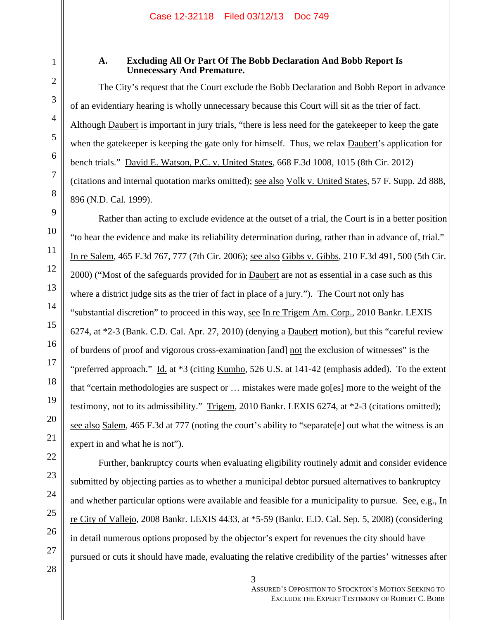1

2

3

4

5

6

7

8

9

10

11

12

13

14

15

16

17

18

19

20

21

22

## **A. Excluding All Or Part Of The Bobb Declaration And Bobb Report Is Unnecessary And Premature.**

The City's request that the Court exclude the Bobb Declaration and Bobb Report in advance of an evidentiary hearing is wholly unnecessary because this Court will sit as the trier of fact. Although Daubert is important in jury trials, "there is less need for the gatekeeper to keep the gate when the gatekeeper is keeping the gate only for himself. Thus, we relax Daubert's application for bench trials." David E. Watson, P.C. v. United States, 668 F.3d 1008, 1015 (8th Cir. 2012) (citations and internal quotation marks omitted); see also Volk v. United States, 57 F. Supp. 2d 888, 896 (N.D. Cal. 1999).

Rather than acting to exclude evidence at the outset of a trial, the Court is in a better position "to hear the evidence and make its reliability determination during, rather than in advance of, trial." In re Salem, 465 F.3d 767, 777 (7th Cir. 2006); see also Gibbs v. Gibbs, 210 F.3d 491, 500 (5th Cir. 2000) ("Most of the safeguards provided for in **Daubert** are not as essential in a case such as this where a district judge sits as the trier of fact in place of a jury."). The Court not only has "substantial discretion" to proceed in this way, see In re Trigem Am. Corp., 2010 Bankr. LEXIS 6274, at \*2-3 (Bank. C.D. Cal. Apr. 27, 2010) (denying a Daubert motion), but this "careful review of burdens of proof and vigorous cross-examination [and] not the exclusion of witnesses" is the "preferred approach." Id. at  $*3$  (citing Kumho, 526 U.S. at 141-42 (emphasis added). To the extent that "certain methodologies are suspect or … mistakes were made go[es] more to the weight of the testimony, not to its admissibility." Trigem, 2010 Bankr. LEXIS 6274, at \*2-3 (citations omitted); see also Salem, 465 F.3d at 777 (noting the court's ability to "separate[e] out what the witness is an expert in and what he is not").

Further, bankruptcy courts when evaluating eligibility routinely admit and consider evidence submitted by objecting parties as to whether a municipal debtor pursued alternatives to bankruptcy and whether particular options were available and feasible for a municipality to pursue. See, e.g., In re City of Vallejo, 2008 Bankr. LEXIS 4433, at \*5-59 (Bankr. E.D. Cal. Sep. 5, 2008) (considering in detail numerous options proposed by the objector's expert for revenues the city should have pursued or cuts it should have made, evaluating the relative credibility of the parties' witnesses after

 $\parallel$  3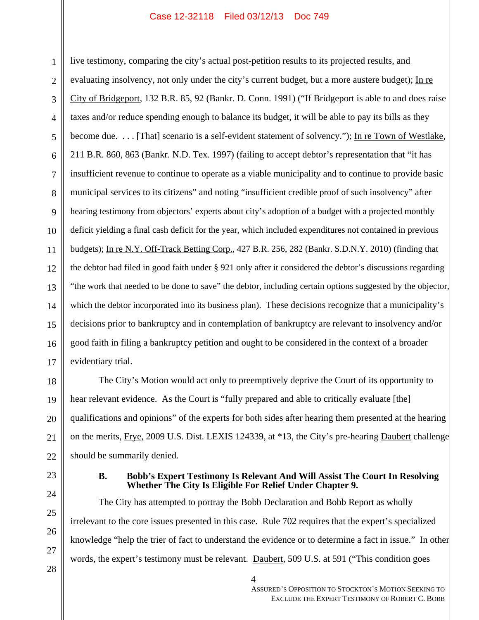#### Case 12-32118 Filed 03/12/13 Doc 749

6 8 10 12 14 16 live testimony, comparing the city's actual post-petition results to its projected results, and evaluating insolvency, not only under the city's current budget, but a more austere budget); In re City of Bridgeport, 132 B.R. 85, 92 (Bankr. D. Conn. 1991) ("If Bridgeport is able to and does raise taxes and/or reduce spending enough to balance its budget, it will be able to pay its bills as they become due. . . . [That] scenario is a self-evident statement of solvency."); In re Town of Westlake, 211 B.R. 860, 863 (Bankr. N.D. Tex. 1997) (failing to accept debtor's representation that "it has insufficient revenue to continue to operate as a viable municipality and to continue to provide basic municipal services to its citizens" and noting "insufficient credible proof of such insolvency" after hearing testimony from objectors' experts about city's adoption of a budget with a projected monthly deficit yielding a final cash deficit for the year, which included expenditures not contained in previous budgets); In re N.Y. Off-Track Betting Corp., 427 B.R. 256, 282 (Bankr. S.D.N.Y. 2010) (finding that the debtor had filed in good faith under § 921 only after it considered the debtor's discussions regarding "the work that needed to be done to save" the debtor, including certain options suggested by the objector, which the debtor incorporated into its business plan). These decisions recognize that a municipality's decisions prior to bankruptcy and in contemplation of bankruptcy are relevant to insolvency and/or good faith in filing a bankruptcy petition and ought to be considered in the context of a broader evidentiary trial.

The City's Motion would act only to preemptively deprive the Court of its opportunity to hear relevant evidence. As the Court is "fully prepared and able to critically evaluate [the] qualifications and opinions" of the experts for both sides after hearing them presented at the hearing on the merits, Frye, 2009 U.S. Dist. LEXIS 124339, at \*13, the City's pre-hearing Daubert challenge should be summarily denied.

1

2

3

4

5

7

9

11

13

15

17

18

19

20

21

22

23

24

25

26

### **B. Bobb's Expert Testimony Is Relevant And Will Assist The Court In Resolving Whether The City Is Eligible For Relief Under Chapter 9.**

The City has attempted to portray the Bobb Declaration and Bobb Report as wholly irrelevant to the core issues presented in this case. Rule 702 requires that the expert's specialized knowledge "help the trier of fact to understand the evidence or to determine a fact in issue." In other words, the expert's testimony must be relevant. Daubert, 509 U.S. at 591 ("This condition goes

 $\parallel$  4

ASSURED'S OPPOSITION TO STOCKTON'S MOTION SEEKING TO EXCLUDE THE EXPERT TESTIMONY OF ROBERT C. BOBB

27 28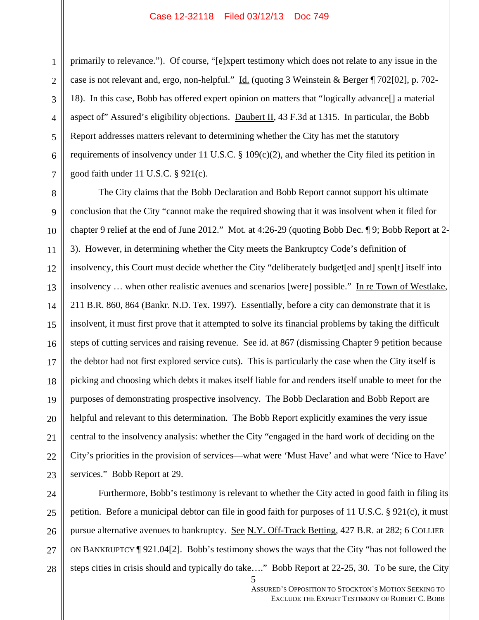primarily to relevance."). Of course, "[e]xpert testimony which does not relate to any issue in the case is not relevant and, ergo, non-helpful." Id. (quoting 3 Weinstein & Berger ¶ 702[02], p. 702-18). In this case, Bobb has offered expert opinion on matters that "logically advance[] a material aspect of" Assured's eligibility objections. Daubert II, 43 F.3d at 1315. In particular, the Bobb Report addresses matters relevant to determining whether the City has met the statutory requirements of insolvency under 11 U.S.C. § 109(c)(2), and whether the City filed its petition in good faith under 11 U.S.C. § 921(c).

The City claims that the Bobb Declaration and Bobb Report cannot support his ultimate conclusion that the City "cannot make the required showing that it was insolvent when it filed for chapter 9 relief at the end of June 2012." Mot. at 4:26-29 (quoting Bobb Dec. ¶ 9; Bobb Report at 2- 3). However, in determining whether the City meets the Bankruptcy Code's definition of insolvency, this Court must decide whether the City "deliberately budget[ed and] spen[t] itself into insolvency ... when other realistic avenues and scenarios [were] possible." In re Town of Westlake, 211 B.R. 860, 864 (Bankr. N.D. Tex. 1997). Essentially, before a city can demonstrate that it is insolvent, it must first prove that it attempted to solve its financial problems by taking the difficult steps of cutting services and raising revenue. See id. at 867 (dismissing Chapter 9 petition because the debtor had not first explored service cuts). This is particularly the case when the City itself is picking and choosing which debts it makes itself liable for and renders itself unable to meet for the purposes of demonstrating prospective insolvency. The Bobb Declaration and Bobb Report are helpful and relevant to this determination. The Bobb Report explicitly examines the very issue central to the insolvency analysis: whether the City "engaged in the hard work of deciding on the City's priorities in the provision of services—what were 'Must Have' and what were 'Nice to Have' services." Bobb Report at 29.

 $\parallel$  5 Furthermore, Bobb's testimony is relevant to whether the City acted in good faith in filing its petition. Before a municipal debtor can file in good faith for purposes of 11 U.S.C. § 921(c), it must pursue alternative avenues to bankruptcy. See N.Y. Off-Track Betting, 427 B.R. at 282; 6 COLLIER ON BANKRUPTCY ¶ 921.04[2]. Bobb's testimony shows the ways that the City "has not followed the steps cities in crisis should and typically do take…." Bobb Report at 22-25, 30. To be sure, the City

ASSURED'S OPPOSITION TO STOCKTON'S MOTION SEEKING TO EXCLUDE THE EXPERT TESTIMONY OF ROBERT C. BOBB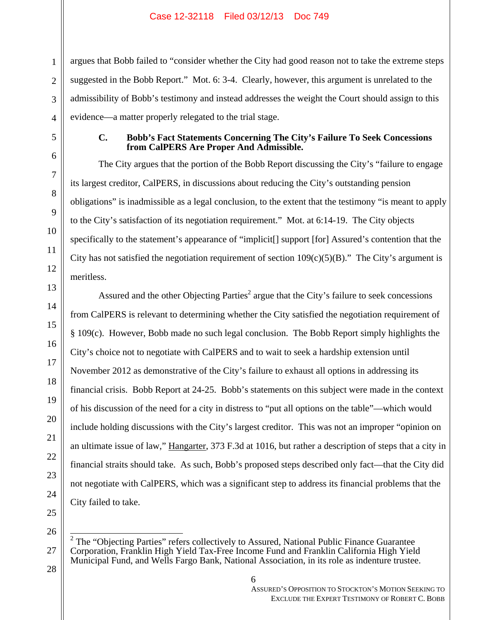argues that Bobb failed to "consider whether the City had good reason not to take the extreme steps suggested in the Bobb Report." Mot. 6: 3-4. Clearly, however, this argument is unrelated to the admissibility of Bobb's testimony and instead addresses the weight the Court should assign to this evidence—a matter properly relegated to the trial stage.

## **C. Bobb's Fact Statements Concerning The City's Failure To Seek Concessions from CalPERS Are Proper And Admissible.**

The City argues that the portion of the Bobb Report discussing the City's "failure to engage its largest creditor, CalPERS, in discussions about reducing the City's outstanding pension obligations" is inadmissible as a legal conclusion, to the extent that the testimony "is meant to apply to the City's satisfaction of its negotiation requirement." Mot. at 6:14-19. The City objects specifically to the statement's appearance of "implicit<sup>[]</sup> support [for] Assured's contention that the City has not satisfied the negotiation requirement of section  $109(c)(5)(B)$ ." The City's argument is meritless.

Assured and the other Objecting Parties<sup>2</sup> argue that the City's failure to seek concessions from CalPERS is relevant to determining whether the City satisfied the negotiation requirement of § 109(c). However, Bobb made no such legal conclusion. The Bobb Report simply highlights the City's choice not to negotiate with CalPERS and to wait to seek a hardship extension until November 2012 as demonstrative of the City's failure to exhaust all options in addressing its financial crisis. Bobb Report at 24-25. Bobb's statements on this subject were made in the context of his discussion of the need for a city in distress to "put all options on the table"—which would include holding discussions with the City's largest creditor. This was not an improper "opinion on an ultimate issue of law," Hangarter, 373 F.3d at 1016, but rather a description of steps that a city in financial straits should take. As such, Bobb's proposed steps described only fact—that the City did not negotiate with CalPERS, which was a significant step to address its financial problems that the City failed to take.

<sup>&</sup>lt;sup>2</sup> The "Objecting Parties" refers collectively to Assured, National Public Finance Guarantee Corporation, Franklin High Yield Tax-Free Income Fund and Franklin California High Yield Municipal Fund, and Wells Fargo Bank, National Association, in its role as indenture trustee.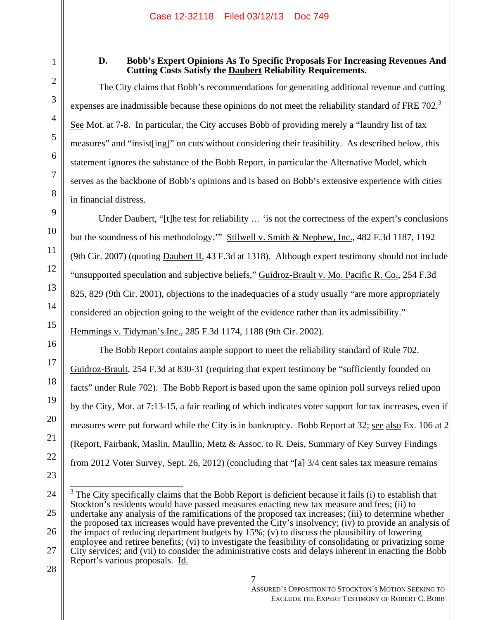# **D. Bobb's Expert Opinions As To Specific Proposals For Increasing Revenues And Cutting Costs Satisfy the Daubert Reliability Requirements.**

The City claims that Bobb's recommendations for generating additional revenue and cutting expenses are inadmissible because these opinions do not meet the reliability standard of FRE 702. $3$ See Mot. at 7-8. In particular, the City accuses Bobb of providing merely a "laundry list of tax measures" and "insist[ing]" on cuts without considering their feasibility. As described below, this statement ignores the substance of the Bobb Report, in particular the Alternative Model, which serves as the backbone of Bobb's opinions and is based on Bobb's extensive experience with cities in financial distress.

Under <u>Daubert</u>, "[t]he test for reliability ... 'is not the correctness of the expert's conclusions but the soundness of his methodology." Stilwell v. Smith & Nephew, Inc., 482 F.3d 1187, 1192 (9th Cir. 2007) (quoting Daubert II, 43 F.3d at 1318). Although expert testimony should not include "unsupported speculation and subjective beliefs," Guidroz-Brault v. Mo. Pacific R. Co., 254 F.3d 825, 829 (9th Cir. 2001), objections to the inadequacies of a study usually "are more appropriately considered an objection going to the weight of the evidence rather than its admissibility." Hemmings v. Tidyman's Inc., 285 F.3d 1174, 1188 (9th Cir. 2002).

The Bobb Report contains ample support to meet the reliability standard of Rule 702. Guidroz-Brault, 254 F.3d at 830-31 (requiring that expert testimony be "sufficiently founded on facts" under Rule 702). The Bobb Report is based upon the same opinion poll surveys relied upon by the City, Mot. at 7:13-15, a fair reading of which indicates voter support for tax increases, even if measures were put forward while the City is in bankruptcy. Bobb Report at 32; see also Ex. 106 at 2 (Report, Fairbank, Maslin, Maullin, Metz & Assoc. to R. Deis, Summary of Key Survey Findings from 2012 Voter Survey, Sept. 26, 2012) (concluding that "[a] 3/4 cent sales tax measure remains

 $\frac{1}{2}$ 

 $3$  The City specifically claims that the Bobb Report is deficient because it fails (i) to establish that Stockton's residents would have passed measures enacting new tax measure and fees; (ii) to undertake any analysis of the ramifications of the proposed tax increases; (iii) to determine whether the proposed tax increases would have prevented the City's insolvency; (iv) to provide an analysis of the impact of reducing department budgets by 15%; (v) to discuss the plausibility of lowering employee and retiree benefits; (vi) to investigate the feasibility of consolidating or privatizing some

27 28 City services; and (vii) to consider the administrative costs and delays inherent in enacting the Bobb Report's various proposals. Id.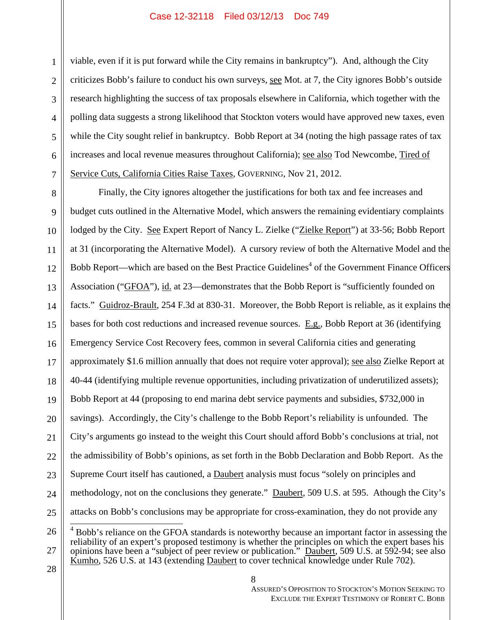### Case 12-32118 Filed 03/12/13 Doc 749

2 3 4 5 6 7 viable, even if it is put forward while the City remains in bankruptcy"). And, although the City criticizes Bobb's failure to conduct his own surveys, see Mot. at 7, the City ignores Bobb's outside research highlighting the success of tax proposals elsewhere in California, which together with the polling data suggests a strong likelihood that Stockton voters would have approved new taxes, even while the City sought relief in bankruptcy. Bobb Report at 34 (noting the high passage rates of tax increases and local revenue measures throughout California); see also Tod Newcombe, Tired of Service Cuts, California Cities Raise Taxes, GOVERNING, Nov 21, 2012.

8 9 10 11 12 13 14 15 16 17 18 19 20 21 22 23 24 25 Finally, the City ignores altogether the justifications for both tax and fee increases and budget cuts outlined in the Alternative Model, which answers the remaining evidentiary complaints lodged by the City. See Expert Report of Nancy L. Zielke ("Zielke Report") at 33-56; Bobb Report at 31 (incorporating the Alternative Model). A cursory review of both the Alternative Model and the Bobb Report—which are based on the Best Practice Guidelines<sup>4</sup> of the Government Finance Officers Association ("GFOA"), id. at 23—demonstrates that the Bobb Report is "sufficiently founded on facts." Guidroz-Brault, 254 F.3d at 830-31. Moreover, the Bobb Report is reliable, as it explains the bases for both cost reductions and increased revenue sources. E.g., Bobb Report at 36 (identifying Emergency Service Cost Recovery fees, common in several California cities and generating approximately \$1.6 million annually that does not require voter approval); see also Zielke Report at 40-44 (identifying multiple revenue opportunities, including privatization of underutilized assets); Bobb Report at 44 (proposing to end marina debt service payments and subsidies, \$732,000 in savings). Accordingly, the City's challenge to the Bobb Report's reliability is unfounded. The City's arguments go instead to the weight this Court should afford Bobb's conclusions at trial, not the admissibility of Bobb's opinions, as set forth in the Bobb Declaration and Bobb Report. As the Supreme Court itself has cautioned, a Daubert analysis must focus "solely on principles and methodology, not on the conclusions they generate." Daubert, 509 U.S. at 595. Athough the City's attacks on Bobb's conclusions may be appropriate for cross-examination, they do not provide any  $\overline{\phantom{a}}$ 

26 27 <sup>4</sup> Bobb's reliance on the GFOA standards is noteworthy because an important factor in assessing the reliability of an expert's proposed testimony is whether the principles on which the expert bases his opinions have been a "subject of peer review or publication." Daubert, 509 U.S. at 592-94; see also Kumho, 526 U.S. at 143 (extending Daubert to cover technical knowledge under Rule 702).

28  $\parallel$  8

1

ASSURED'S OPPOSITION TO STOCKTON'S MOTION SEEKING TO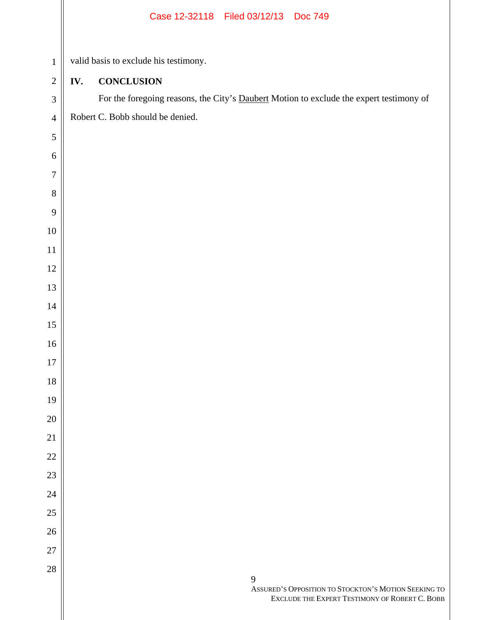|                  |     | Case 12-32118   Filed 03/12/13   Doc 749                                                                    |
|------------------|-----|-------------------------------------------------------------------------------------------------------------|
| $\,1$            |     | valid basis to exclude his testimony.                                                                       |
| $\overline{c}$   | IV. | <b>CONCLUSION</b>                                                                                           |
| 3                |     | For the foregoing reasons, the City's Daubert Motion to exclude the expert testimony of                     |
| $\overline{4}$   |     | Robert C. Bobb should be denied.                                                                            |
| 5                |     |                                                                                                             |
| $\sqrt{6}$       |     |                                                                                                             |
| $\boldsymbol{7}$ |     |                                                                                                             |
|                  |     |                                                                                                             |
| $8\,$            |     |                                                                                                             |
| $\mathbf{9}$     |     |                                                                                                             |
| $10\,$           |     |                                                                                                             |
| $11\,$           |     |                                                                                                             |
| $12\,$           |     |                                                                                                             |
| 13               |     |                                                                                                             |
| $14\,$           |     |                                                                                                             |
| 15               |     |                                                                                                             |
| 16               |     |                                                                                                             |
| $17\,$           |     |                                                                                                             |
| $18\,$           |     |                                                                                                             |
| 19               |     |                                                                                                             |
| 20               |     |                                                                                                             |
| $21\,$           |     |                                                                                                             |
| $22\,$           |     |                                                                                                             |
| $23\,$           |     |                                                                                                             |
| $24\,$           |     |                                                                                                             |
| $25\,$           |     |                                                                                                             |
| 26               |     |                                                                                                             |
| $27\,$           |     |                                                                                                             |
| $28\,$           |     | 9<br>ASSURED'S OPPOSITION TO STOCKTON'S MOTION SEEKING TO<br>EXCLUDE THE EXPERT TESTIMONY OF ROBERT C. BOBB |